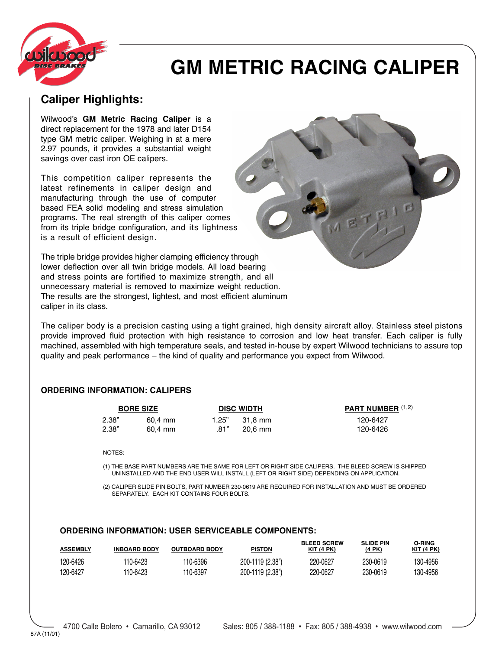

# **GM METRIC RACING CALIPER**

## **Caliper Highlights:**

Wilwood's **GM Metric Racing Caliper** is a direct replacement for the 1978 and later D154 type GM metric caliper. Weighing in at a mere 2.97 pounds, it provides a substantial weight savings over cast iron OE calipers.

This competition caliper represents the latest refinements in caliper design and manufacturing through the use of computer based FEA solid modeling and stress simulation programs. The real strength of this caliper comes from its triple bridge configuration, and its lightness is a result of efficient design.

The triple bridge provides higher clamping efficiency through lower deflection over all twin bridge models. All load bearing and stress points are fortified to maximize strength, and all unnecessary material is removed to maximize weight reduction. The results are the strongest, lightest, and most efficient aluminum caliper in its class.

The caliper body is a precision casting using a tight grained, high density aircraft alloy. Stainless steel pistons provide improved fluid protection with high resistance to corrosion and low heat transfer. Each caliper is fully machined, assembled with high temperature seals, and tested in-house by expert Wilwood technicians to assure top quality and peak performance – the kind of quality and performance you expect from Wilwood.

### **ORDERING INFORMATION: CALIPERS**

| <b>BORE SIZE</b> |         | <b>DISC WIDTH</b> |           | PART NUMBER (1,2) |  |  |
|------------------|---------|-------------------|-----------|-------------------|--|--|
| 2.38"            | 60,4 mm | 1.25"             | 31.8 mm   | 120-6427          |  |  |
| 2.38"            | 60.4 mm | .81"              | $20.6$ mm | 120-6426          |  |  |
|                  |         |                   |           |                   |  |  |
| NOTES:           |         |                   |           |                   |  |  |

(1) THE BASE PART NUMBERS ARE THE SAME FOR LEFT OR RIGHT SIDE CALIPERS. THE BLEED SCREW IS SHIPPED UNINSTALLED AND THE END USER WILL INSTALL (LEFT OR RIGHT SIDE) DEPENDING ON APPLICATION.

(2) CALIPER SLIDE PIN BOLTS, PART NUMBER 230-0619 ARE REQUIRED FOR INSTALLATION AND MUST BE ORDERED SEPARATELY. EACH KIT CONTAINS FOUR BOLTS.

### **ORDERING INFORMATION: USER SERVICEABLE COMPONENTS:**

| <b>ASSEMBLY</b> | <b>INBOARD BODY</b> | <b>OUTBOARD BODY</b> | <b>PISTON</b>    | <b>BLEED SCREW</b><br>KIT(4 PK) | <b>SLIDE PIN</b><br>(4 PK) | O-RING<br>$KIT$ (4 PK) |
|-----------------|---------------------|----------------------|------------------|---------------------------------|----------------------------|------------------------|
| 120-6426        | 110-6423            | 110-6396             | 200-1119 (2.38") | 220-0627                        | 230-0619                   | 130-4956               |
| 120-6427        | 110-6423            | 110-6397             | 200-1119 (2.38") | 220-0627                        | 230-0619                   | 130-4956               |